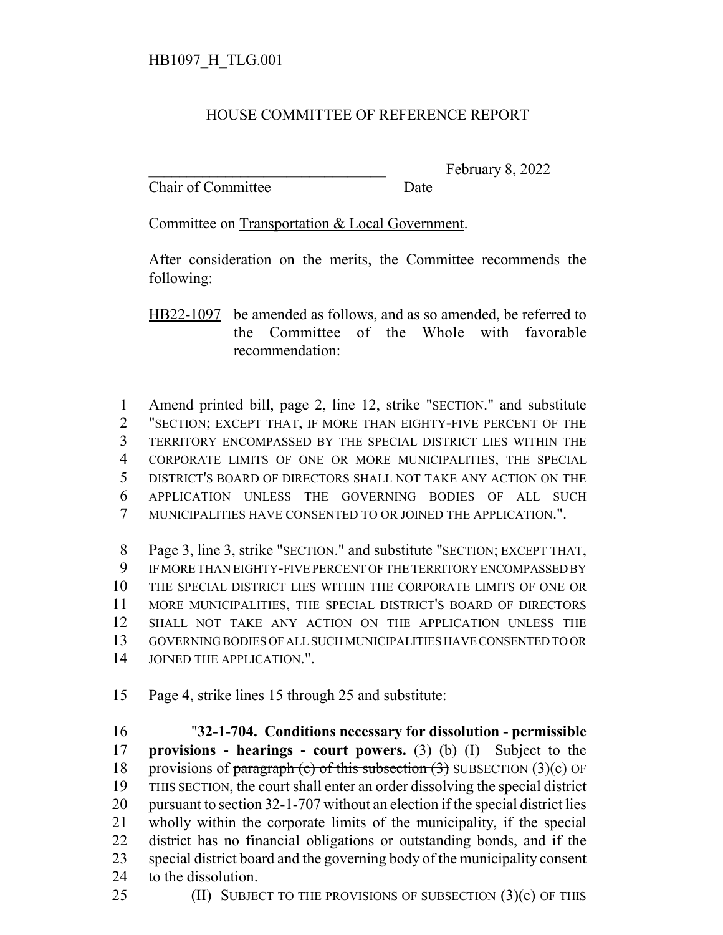## HOUSE COMMITTEE OF REFERENCE REPORT

Chair of Committee Date

February 8, 2022

Committee on Transportation & Local Government.

After consideration on the merits, the Committee recommends the following:

HB22-1097 be amended as follows, and as so amended, be referred to the Committee of the Whole with favorable recommendation:

 Amend printed bill, page 2, line 12, strike "SECTION." and substitute "SECTION; EXCEPT THAT, IF MORE THAN EIGHTY-FIVE PERCENT OF THE TERRITORY ENCOMPASSED BY THE SPECIAL DISTRICT LIES WITHIN THE CORPORATE LIMITS OF ONE OR MORE MUNICIPALITIES, THE SPECIAL DISTRICT'S BOARD OF DIRECTORS SHALL NOT TAKE ANY ACTION ON THE APPLICATION UNLESS THE GOVERNING BODIES OF ALL SUCH MUNICIPALITIES HAVE CONSENTED TO OR JOINED THE APPLICATION.".

 Page 3, line 3, strike "SECTION." and substitute "SECTION; EXCEPT THAT, IF MORE THAN EIGHTY-FIVE PERCENT OF THE TERRITORY ENCOMPASSED BY THE SPECIAL DISTRICT LIES WITHIN THE CORPORATE LIMITS OF ONE OR MORE MUNICIPALITIES, THE SPECIAL DISTRICT'S BOARD OF DIRECTORS SHALL NOT TAKE ANY ACTION ON THE APPLICATION UNLESS THE GOVERNING BODIES OF ALL SUCH MUNICIPALITIES HAVE CONSENTED TO OR 14 JOINED THE APPLICATION.".

Page 4, strike lines 15 through 25 and substitute:

 "**32-1-704. Conditions necessary for dissolution - permissible provisions - hearings - court powers.** (3) (b) (I) Subject to the 18 provisions of paragraph (c) of this subsection  $(3)$  SUBSECTION  $(3)(c)$  OF THIS SECTION, the court shall enter an order dissolving the special district pursuant to section 32-1-707 without an election if the special district lies wholly within the corporate limits of the municipality, if the special district has no financial obligations or outstanding bonds, and if the special district board and the governing body of the municipality consent to the dissolution.

25 (II) SUBJECT TO THE PROVISIONS OF SUBSECTION (3)(c) OF THIS